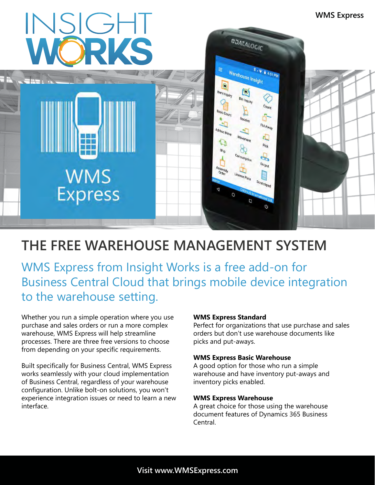

## **THE FREE WAREHOUSE MANAGEMENT SYSTEM**

WMS Express from Insight Works is a free add-on for Business Central Cloud that brings mobile device integration to the warehouse setting.

Whether you run a simple operation where you use purchase and sales orders or run a more complex warehouse, WMS Express will help streamline processes. There are three free versions to choose from depending on your specific requirements.

Built specifically for Business Central, WMS Express works seamlessly with your cloud implementation of Business Central, regardless of your warehouse configuration. Unlike bolt-on solutions, you won't experience integration issues or need to learn a new interface.

#### **WMS Express Standard**

Perfect for organizations that use purchase and sales orders but don't use warehouse documents like picks and put-aways.

#### **WMS Express Basic Warehouse**

A good option for those who run a simple warehouse and have inventory put-aways and inventory picks enabled.

#### **WMS Express Warehouse**

A great choice for those using the warehouse document features of Dynamics 365 Business Central.